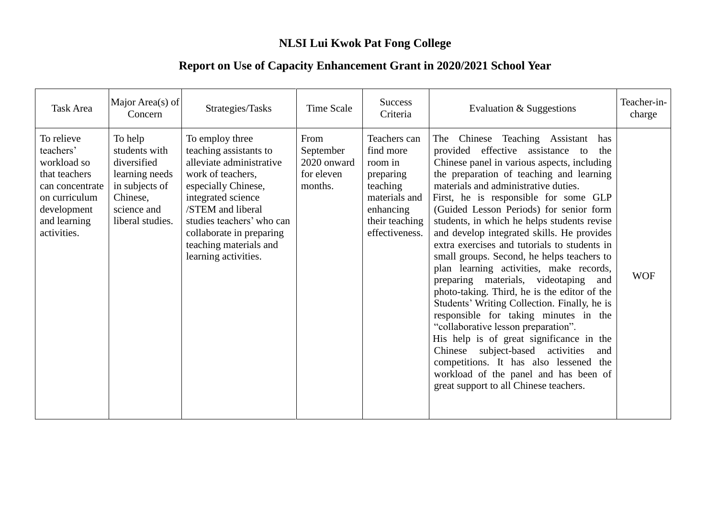## **NLSI Lui Kwok Pat Fong College**

## **Report on Use of Capacity Enhancement Grant in 2020/2021 School Year**

| <b>Task Area</b>                                                                                                                          | Major Area(s) of<br>Concern                                                                                                | Strategies/Tasks                                                                                                                                                                                                                                                        | <b>Time Scale</b>                                         | <b>Success</b><br>Criteria                                                                                                      | Evaluation & Suggestions                                                                                                                                                                                                                                                                                                                                                                                                                                                                                                                                                                                                                                                                                                                                                                                                                                                                                                                                                                           | Teacher-in-<br>charge |
|-------------------------------------------------------------------------------------------------------------------------------------------|----------------------------------------------------------------------------------------------------------------------------|-------------------------------------------------------------------------------------------------------------------------------------------------------------------------------------------------------------------------------------------------------------------------|-----------------------------------------------------------|---------------------------------------------------------------------------------------------------------------------------------|----------------------------------------------------------------------------------------------------------------------------------------------------------------------------------------------------------------------------------------------------------------------------------------------------------------------------------------------------------------------------------------------------------------------------------------------------------------------------------------------------------------------------------------------------------------------------------------------------------------------------------------------------------------------------------------------------------------------------------------------------------------------------------------------------------------------------------------------------------------------------------------------------------------------------------------------------------------------------------------------------|-----------------------|
| To relieve<br>teachers'<br>workload so<br>that teachers<br>can concentrate<br>on curriculum<br>development<br>and learning<br>activities. | To help<br>students with<br>diversified<br>learning needs<br>in subjects of<br>Chinese,<br>science and<br>liberal studies. | To employ three<br>teaching assistants to<br>alleviate administrative<br>work of teachers.<br>especially Chinese,<br>integrated science<br>/STEM and liberal<br>studies teachers' who can<br>collaborate in preparing<br>teaching materials and<br>learning activities. | From<br>September<br>2020 onward<br>for eleven<br>months. | Teachers can<br>find more<br>room in<br>preparing<br>teaching<br>materials and<br>enhancing<br>their teaching<br>effectiveness. | Teaching Assistant<br>The<br>Chinese<br>has<br>provided effective assistance to<br>the<br>Chinese panel in various aspects, including<br>the preparation of teaching and learning<br>materials and administrative duties.<br>First, he is responsible for some GLP<br>(Guided Lesson Periods) for senior form<br>students, in which he helps students revise<br>and develop integrated skills. He provides<br>extra exercises and tutorials to students in<br>small groups. Second, he helps teachers to<br>plan learning activities, make records,<br>preparing materials, videotaping<br>and<br>photo-taking. Third, he is the editor of the<br>Students' Writing Collection. Finally, he is<br>responsible for taking minutes in the<br>"collaborative lesson preparation".<br>His help is of great significance in the<br>Chinese subject-based activities<br>and<br>competitions. It has also lessened the<br>workload of the panel and has been of<br>great support to all Chinese teachers. | <b>WOF</b>            |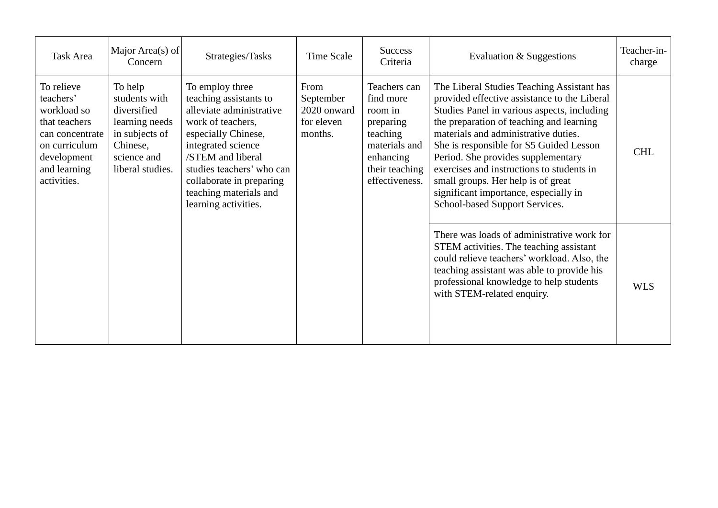| <b>Task Area</b>                                                                                                                          | Major Area(s) of<br>Concern                                                                                                | Strategies/Tasks                                                                                                                                                                                                                                                        | Time Scale                                                | <b>Success</b><br>Criteria                                                                                                      | Evaluation & Suggestions                                                                                                                                                                                                                                                                                                                                                                                                                                                     | Teacher-in-<br>charge |
|-------------------------------------------------------------------------------------------------------------------------------------------|----------------------------------------------------------------------------------------------------------------------------|-------------------------------------------------------------------------------------------------------------------------------------------------------------------------------------------------------------------------------------------------------------------------|-----------------------------------------------------------|---------------------------------------------------------------------------------------------------------------------------------|------------------------------------------------------------------------------------------------------------------------------------------------------------------------------------------------------------------------------------------------------------------------------------------------------------------------------------------------------------------------------------------------------------------------------------------------------------------------------|-----------------------|
| To relieve<br>teachers'<br>workload so<br>that teachers<br>can concentrate<br>on curriculum<br>development<br>and learning<br>activities. | To help<br>students with<br>diversified<br>learning needs<br>in subjects of<br>Chinese,<br>science and<br>liberal studies. | To employ three<br>teaching assistants to<br>alleviate administrative<br>work of teachers,<br>especially Chinese,<br>integrated science<br>/STEM and liberal<br>studies teachers' who can<br>collaborate in preparing<br>teaching materials and<br>learning activities. | From<br>September<br>2020 onward<br>for eleven<br>months. | Teachers can<br>find more<br>room in<br>preparing<br>teaching<br>materials and<br>enhancing<br>their teaching<br>effectiveness. | The Liberal Studies Teaching Assistant has<br>provided effective assistance to the Liberal<br>Studies Panel in various aspects, including<br>the preparation of teaching and learning<br>materials and administrative duties.<br>She is responsible for S5 Guided Lesson<br>Period. She provides supplementary<br>exercises and instructions to students in<br>small groups. Her help is of great<br>significant importance, especially in<br>School-based Support Services. | <b>CHL</b>            |
|                                                                                                                                           |                                                                                                                            |                                                                                                                                                                                                                                                                         |                                                           |                                                                                                                                 | There was loads of administrative work for<br>STEM activities. The teaching assistant<br>could relieve teachers' workload. Also, the<br>teaching assistant was able to provide his<br>professional knowledge to help students<br>with STEM-related enquiry.                                                                                                                                                                                                                  | <b>WLS</b>            |